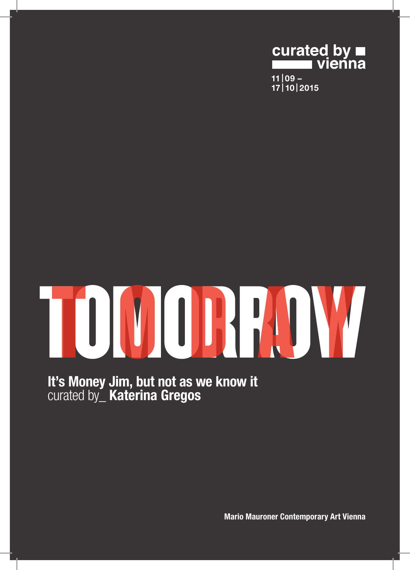

TOUJOR M

It's Money Jim, but not as we know it curated by\_ Katerina Gregos

Mario Mauroner Contemporary Art Vienna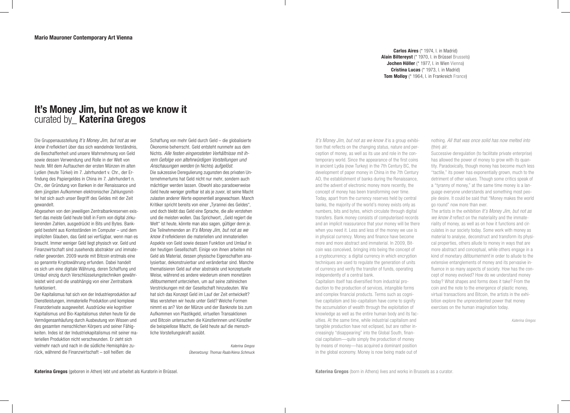Carlos Aires (\* 1974, I. in Madrid) Alain Biltereyst (\* 1970, l. in Brüssel Brussels) Jochen Höller (\* 1977, I. in Wien Vienna) Cristina Lucas (\* 1973, l. in Madrid) Tom Molloy (\* 1964, I. in Frankreich France)

## It's Money Jim, but not as we know it curated by **Katerina Gregos**

Die Gruppenausstellung *It's Money Jim, but not as we know it* reflektiert über das sich wandelnde Verständnis, die Beschaffenheit und unsere Wahrnehmung von Geld sowie dessen Verwendung und Rolle in der Welt von heute. Mit dem Auftauchen der ersten Münzen im alten Lydien (heute Türkei) im 7. Jahrhundert v. Chr., der Erfindung des Papiergeldes in China im 7. Jahrhundert n. Chr., der Gründung von Banken in der Renaissance und dem jüngsten Aufkommen elektronischer Zahlungsmittel hat sich auch unser Begriff des Geldes mit der Zeit gewandelt.

Abgesehen von den jeweiligen Zentralbankreserven existiert das meiste Geld heute bloß in Form von digital zirkulierenden Zahlen, ausgedrückt in Bits und Bytes. Bankgeld besteht aus Kontoständen im Computer – und dem impliziten Glauben, das Geld sei verfügbar, wenn man es braucht. Immer weniger Geld liegt physisch vor. Geld und Finanzwirtschaft sind zusehends abstrakter und immaterieller geworden. 2009 wurde mit Bitcoin erstmals eine so genannte Kryptowährung erfunden. Dabei handelt es sich um eine digitale Währung, deren Schaffung und Umlauf einzig durch Verschlüsselungstechniken gewährleistet wird und die unabhängig von einer Zentralbank funktioniert.

Der Kapitalismus hat sich von der Industrieproduktion auf Dienstleistungen, immaterielle Produktion und komplexe Finanzderivate ausgeweitet. Ausdrücke wie kognitiver Kapitalismus und Bio-Kapitalismus stehen heute für die Vermögensanhäufung durch Ausbeutung von Wissen und des gesamten menschlichen Körpers und seiner Fähigkeiten. Indes ist der Industriekapitalismus mit seiner materiellen Produktion nicht verschwunden. Er zieht sich vielmehr nach und nach in die südliche Hemisphäre zurück, während die Finanzwirtschaft – soll heißen: die

Schaffung von mehr Geld durch Geld – die globalisierte Ökonomie beherrscht. Geld entsteht nunmehr aus dem Nichts. *Alle festen eingerosteten Verhältnisse mit ihrem Gefolge von altehrwürdigen Vorstellungen und Anschauungen werden* (in Nichts) *aufgelöst*. Die sukzessive Deregulierung zugunsten des privaten Unternehmertums hat Geld nicht nur mehr, sondern auch mächtiger werden lassen. Obwohl also paradoxerweise Geld heute weniger greifbar ist als je zuvor, ist seine Macht zulasten anderer Werte exponentiell angewachsen. Manch Kritiker spricht bereits von einer "Tyrannei des Geldes", und doch bleibt das Geld eine Sprache, die alle verstehen und die meisten wollen. Das Sprichwort, "Geld regiert die Welt" ist heute, könnte man also sagen, gültiger denn je. Die Teilnehmenden an *It's Money Jim, but not as we know it* reflektieren die materiellen und immateriellen Aspekte von Geld sowie dessen Funktion und Umlauf in der heutigen Gesellschaft. Einige von ihnen arbeiten mit Geld als Material, dessen physische Eigenschaften analysierbar, dekonstruierbar und veränderbar sind. Manche thematisieren Geld auf eher abstrakte und konzeptuelle Weise, während es andere wiederum einem monetären *détournement* unterziehen, um auf seine zahlreichen Verstrickungen mit der Gesellschaft hinzudeuten. Wie hat sich das Konzept Geld im Lauf der Zeit entwickelt? Was verstehen wir heute unter Geld? Welche Formen nimmt es an? Von der Münze und der Banknote bis zum Aufkommen von Plastikgeld, virtuellen Transaktionen und Bitcoin untersuchen die Künstlerinnen und Künstler die beispiellose Macht, die Geld heute auf die menschliche Vorstellungskraft ausübt.

> *Katerina Gregos Übersetzung: Thomas Raab/Alena Schmuck*

*It's Money Jim, but not as we know it* is a group exhibition that reflects on the changing status, nature and perception of money, as well as its use and role in the contemporary world. Since the appearance of the first coins in ancient Lydia (now Turkey) in the 7th Century BC, the development of paper money in China in the 7th Century AD, the establishment of banks during the Renaissance, and the advent of electronic money more recently, the concept of money has been transforming over time. Today, apart from the currency reserves held by central banks, the majority of the world's money exists only as numbers, bits and bytes, which circulate through digital transfers. Bank money consists of computerised records and an implicit reassurance that your money will be there when you need it. Less and less of the money we use is in physical currency. Money and finance have become more and more abstract and immaterial. In 2009, Bitcoin was conceived, bringing into being the concept of a cryptocurrency: a digital currency in which encryption techniques are used to regulate the generation of units of currency and verify the transfer of funds, operating independently of a central bank.

Capitalism itself has diversified from industrial production to the production of services, intangible forms and complex financial products. Terms such as cognitive capitalism and bio-capitalism have come to signify the accumulation of wealth through the exploitation of knowledge as well as the entire human body and its faculties. At the same time, while industrial capitalism and tangible production have not eclipsed, but are rather increasingly "disappearing" into the Global South, financial capitalism—quite simply the production of money by means of money—has acquired a dominant position in the global economy. Money is now being made out of

nothing. *All that was once solid has now melted into* (thin) *air*.

Successive deregulation (to facilitate private enterprise) has allowed the power of money to grow with its quantity. Paradoxically, though money has become much less "tactile," its power has exponentially grown, much to the detriment of other values. Though some critics speak of a "tyranny of money," at the same time money is a language everyone understands and something most people desire. It could be said that "Money makes the world go round" now more than ever.

The artists in the exhibition *It's Money Jim, but not as we know it* reflect on the materiality and the immateriality of money, as well as on how it functions and circulates in our society today. Some work with money as material to analyse, deconstruct and transform its physical properties, others allude to money in ways that are more abstract and conceptual, while others engage in a kind of monetary *détournement* in order to allude to the extensive entanglements of money and its pervasive influence in so many aspects of society. How has the concept of money evolved? How do we understand money today? What shapes and forms does it take? From the coin and the note to the emergence of plastic money, virtual transactions and Bitcoin, the artists in the exhibition explore the unprecedented power that money exercises on the human imagination today.

*Katerina Gregos*

Katerina Gregos (geboren in Athen) lebt und arbeitet als Kuratorin in Brüssel. **Katerina Gregos (born in Athens) lives and works in Brussels as a curator.** Katerina Gregos (born in Athens) lives and works in Brussels as a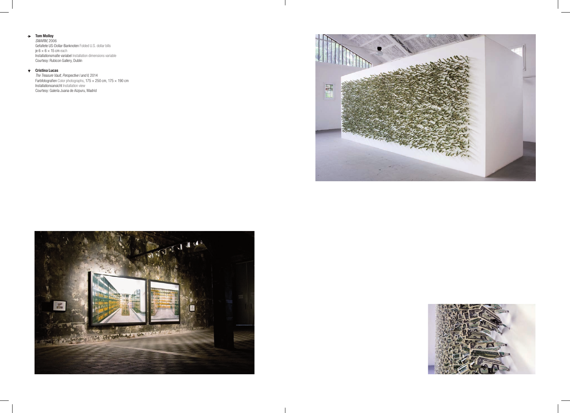Tom Molloy

*SWARM*, 2006 Gefaltete US-Dollar-Banknoten Folded U.S. dollar bills je  $6 \times 6 \times 15$  cm each Installationsmaße variabel Installation dimensions variable Courtesy: Rubicon Gallery, Dublin

## Cristina Lucas

*The Treasure Vault, Perspective I and II*, 2014 Farbfotografien Color photographs, 175  $\times$  250 cm, 175  $\times$  190 cm Installationsansicht Installation view Courtesy: Galería Juana de Aizpuru, Madrid





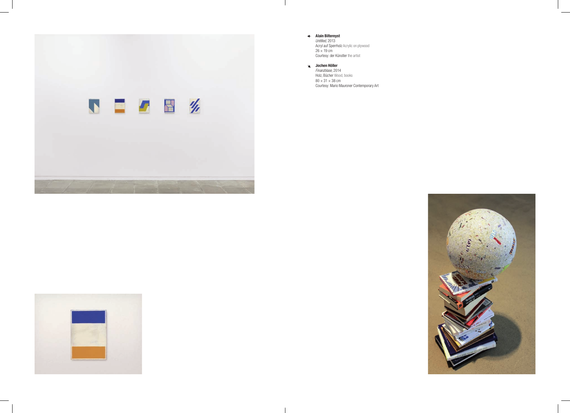

Alain Biltereyst *Untitled*, 2013 Acryl auf Sperrholz Acrylic on plywood  $26 \times 19$  cm Courtesy: der Künstler the artist

 $\mathcal{L}$ 

Jochen Höller *Finanzblase*, 2014 Holz, Bücher Wood, books  $80 \times 31 \times 38$  cm Courtesy: Mario Mauroner Contemporary Art